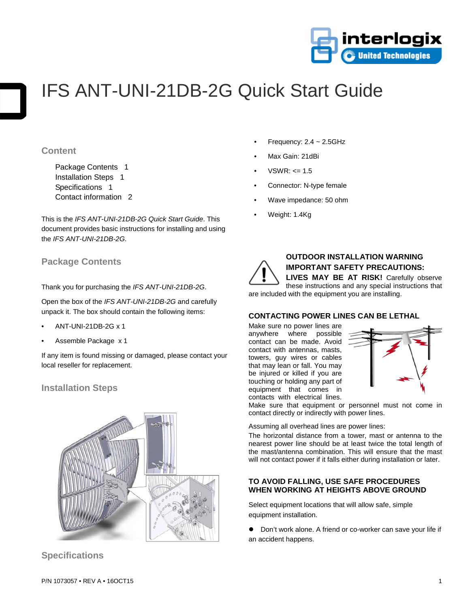

# IFS ANT-UNI-21DB-2G Quick Start Guide

### **Content**

Package Contents 1 Installation Steps 1 Specifications 1 Contact information 2

This is the *IFS ANT-UNI-21DB-2G Quick Start Guide*. This document provides basic instructions for installing and using the *IFS ANT-UNI-21DB-2G*.

## **Package Contents**

Thank you for purchasing the *IFS ANT-UNI-21DB-2G*.

Open the box of the *IFS ANT-UNI-21DB-2G* and carefully unpack it. The box should contain the following items:

- ANT-UNI-21DB-2G x 1
- Assemble Package x 1

If any item is found missing or damaged, please contact your local reseller for replacement.

## **Installation Steps**



**Specifications**

- Frequency:  $2.4 \sim 2.5$ GHz
- Max Gain: 21dBi
- $VSWR: \leq 1.5$
- Connector: N-type female
- Wave impedance: 50 ohm
- Weight: 1.4Kg



## **OUTDOOR INSTALLATION WARNING IMPORTANT SAFETY PRECAUTIONS:**

**LIVES MAY BE AT RISK!** Carefully observe these instructions and any special instructions that are included with the equipment you are installing.

#### **CONTACTING POWER LINES CAN BE LETHAL**

Make sure no power lines are anywhere where possible contact can be made. Avoid contact with antennas, masts, towers, guy wires or cables that may lean or fall. You may be injured or killed if you are touching or holding any part of equipment that comes in contacts with electrical lines.



Make sure that equipment or personnel must not come in contact directly or indirectly with power lines.

Assuming all overhead lines are power lines:

The horizontal distance from a tower, mast or antenna to the nearest power line should be at least twice the total length of the mast/antenna combination. This will ensure that the mast will not contact power if it falls either during installation or later.

#### **TO AVOID FALLING, USE SAFE PROCEDURES WHEN WORKING AT HEIGHTS ABOVE GROUND**

Select equipment locations that will allow safe, simple equipment installation.

 Don't work alone. A friend or co-worker can save your life if an accident happens.